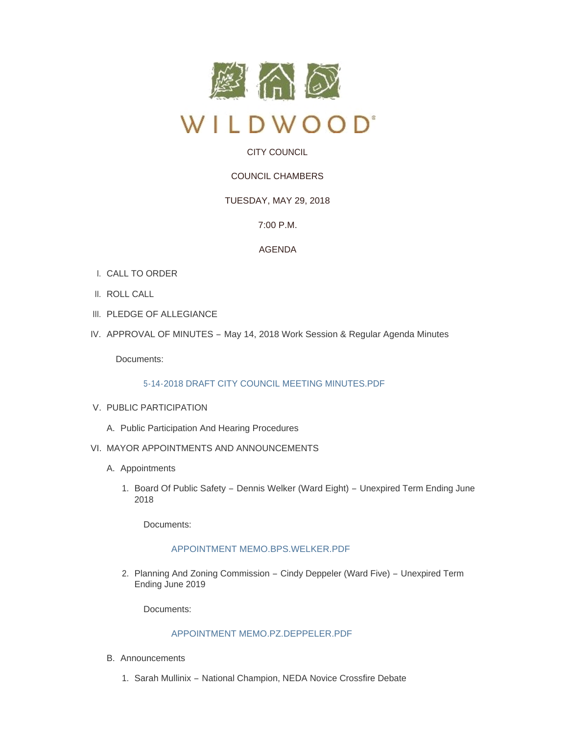

# CITY COUNCIL

# COUNCIL CHAMBERS

## TUESDAY, MAY 29, 2018

## 7:00 P.M.

### AGENDA

- CALL TO ORDER I.
- II. ROLL CALL
- III. PLEDGE OF ALLEGIANCE
- IV. APPROVAL OF MINUTES May 14, 2018 Work Session & Regular Agenda Minutes

Documents:

### [5-14-2018 DRAFT CITY COUNCIL MEETING MINUTES.PDF](http://www.cityofwildwood.com/AgendaCenter/ViewFile/Item/15677?fileID=23418)

### V. PUBLIC PARTICIPATION

- A. Public Participation And Hearing Procedures
- VI. MAYOR APPOINTMENTS AND ANNOUNCEMENTS
	- A. Appointments
		- 1. Board Of Public Safety Dennis Welker (Ward Eight) Unexpired Term Ending June 2018

Documents:

### [APPOINTMENT MEMO.BPS.WELKER.PDF](http://www.cityofwildwood.com/AgendaCenter/ViewFile/Item/15682?fileID=23419)

2. Planning And Zoning Commission – Cindy Deppeler (Ward Five) – Unexpired Term Ending June 2019

Documents:

## [APPOINTMENT MEMO.PZ.DEPPELER.PDF](http://www.cityofwildwood.com/AgendaCenter/ViewFile/Item/15683?fileID=23420)

- Announcements B.
	- 1. Sarah Mullinix National Champion, NEDA Novice Crossfire Debate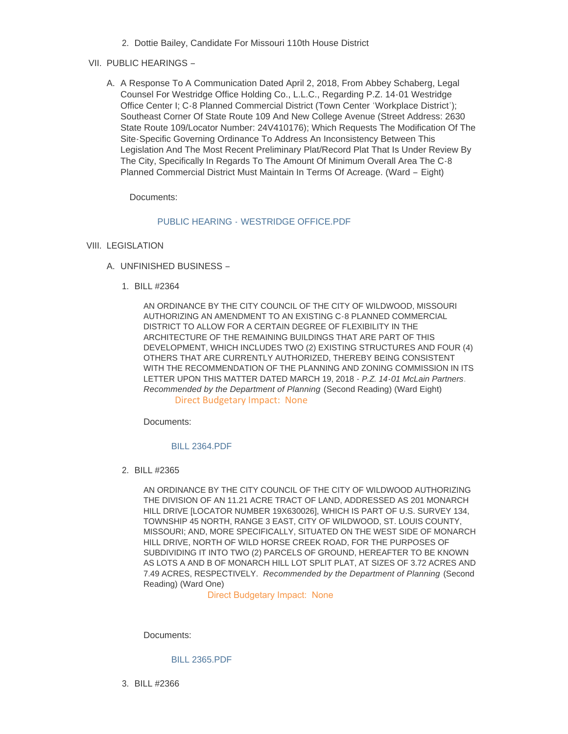2. Dottie Bailey, Candidate For Missouri 110th House District

### VII. PUBLIC HEARINGS –

A. A Response To A Communication Dated April 2, 2018, From Abbey Schaberg, Legal Counsel For Westridge Office Holding Co., L.L.C., Regarding P.Z. 14-01 Westridge Office Center I; C-8 Planned Commercial District (Town Center 'Workplace District'); Southeast Corner Of State Route 109 And New College Avenue (Street Address: 2630 State Route 109/Locator Number: 24V410176); Which Requests The Modification Of The Site-Specific Governing Ordinance To Address An Inconsistency Between This Legislation And The Most Recent Preliminary Plat/Record Plat That Is Under Review By The City, Specifically In Regards To The Amount Of Minimum Overall Area The C-8 Planned Commercial District Must Maintain In Terms Of Acreage. (Ward – Eight)

Documents:

#### PUBLIC HEARING - WESTRIDGE OFFICE PDF

- VIII. LEGISLATION
	- UNFINISHED BUSINESS A.
		- BILL #2364 1.

AN ORDINANCE BY THE CITY COUNCIL OF THE CITY OF WILDWOOD, MISSOURI AUTHORIZING AN AMENDMENT TO AN EXISTING C-8 PLANNED COMMERCIAL DISTRICT TO ALLOW FOR A CERTAIN DEGREE OF FLEXIBILITY IN THE ARCHITECTURE OF THE REMAINING BUILDINGS THAT ARE PART OF THIS DEVELOPMENT, WHICH INCLUDES TWO (2) EXISTING STRUCTURES AND FOUR (4) OTHERS THAT ARE CURRENTLY AUTHORIZED, THEREBY BEING CONSISTENT WITH THE RECOMMENDATION OF THE PLANNING AND ZONING COMMISSION IN ITS LETTER UPON THIS MATTER DATED MARCH 19, 2018 - *P.Z. 14-01 McLain Partners*. *Recommended by the Department of Planning* (Second Reading) (Ward Eight) Direct Budgetary Impact: None

Documents:

#### [BILL 2364.PDF](http://www.cityofwildwood.com/AgendaCenter/ViewFile/Item/15698?fileID=23424)

BILL #2365 2.

AN ORDINANCE BY THE CITY COUNCIL OF THE CITY OF WILDWOOD AUTHORIZING THE DIVISION OF AN 11.21 ACRE TRACT OF LAND, ADDRESSED AS 201 MONARCH HILL DRIVE [LOCATOR NUMBER 19X630026], WHICH IS PART OF U.S. SURVEY 134, TOWNSHIP 45 NORTH, RANGE 3 EAST, CITY OF WILDWOOD, ST. LOUIS COUNTY, MISSOURI; AND, MORE SPECIFICALLY, SITUATED ON THE WEST SIDE OF MONARCH HILL DRIVE, NORTH OF WILD HORSE CREEK ROAD, FOR THE PURPOSES OF SUBDIVIDING IT INTO TWO (2) PARCELS OF GROUND, HEREAFTER TO BE KNOWN AS LOTS A AND B OF MONARCH HILL LOT SPLIT PLAT, AT SIZES OF 3.72 ACRES AND 7.49 ACRES, RESPECTIVELY. *Recommended by the Department of Planning* (Second Reading) (Ward One)

Direct Budgetary Impact: None

Documents:

[BILL 2365.PDF](http://www.cityofwildwood.com/AgendaCenter/ViewFile/Item/15702?fileID=23426)

BILL #2366 3.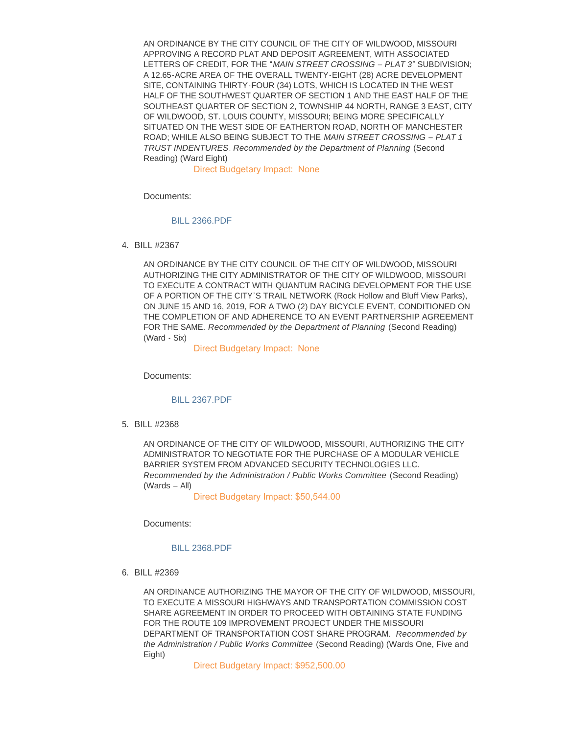AN ORDINANCE BY THE CITY COUNCIL OF THE CITY OF WILDWOOD, MISSOURI APPROVING A RECORD PLAT AND DEPOSIT AGREEMENT, WITH ASSOCIATED LETTERS OF CREDIT, FOR THE "*MAIN STREET CROSSING – PLAT 3*" SUBDIVISION; A 12.65-ACRE AREA OF THE OVERALL TWENTY-EIGHT (28) ACRE DEVELOPMENT SITE, CONTAINING THIRTY-FOUR (34) LOTS, WHICH IS LOCATED IN THE WEST HALF OF THE SOUTHWEST QUARTER OF SECTION 1 AND THE EAST HALF OF THE SOUTHEAST QUARTER OF SECTION 2, TOWNSHIP 44 NORTH, RANGE 3 EAST, CITY OF WILDWOOD, ST. LOUIS COUNTY, MISSOURI; BEING MORE SPECIFICALLY SITUATED ON THE WEST SIDE OF EATHERTON ROAD, NORTH OF MANCHESTER ROAD; WHILE ALSO BEING SUBJECT TO THE *MAIN STREET CROSSING – PLAT 1 TRUST INDENTURES*. *Recommended by the Department of Planning* (Second Reading) (Ward Eight)

Direct Budgetary Impact: None

Documents:

#### [BILL 2366.PDF](http://www.cityofwildwood.com/AgendaCenter/ViewFile/Item/15703?fileID=23427)

BILL #2367 4.

AN ORDINANCE BY THE CITY COUNCIL OF THE CITY OF WILDWOOD, MISSOURI AUTHORIZING THE CITY ADMINISTRATOR OF THE CITY OF WILDWOOD, MISSOURI TO EXECUTE A CONTRACT WITH QUANTUM RACING DEVELOPMENT FOR THE USE OF A PORTION OF THE CITY'S TRAIL NETWORK (Rock Hollow and Bluff View Parks), ON JUNE 15 AND 16, 2019, FOR A TWO (2) DAY BICYCLE EVENT, CONDITIONED ON THE COMPLETION OF AND ADHERENCE TO AN EVENT PARTNERSHIP AGREEMENT FOR THE SAME. *Recommended by the Department of Planning* (Second Reading) (Ward - Six)

Direct Budgetary Impact: None

Documents:

#### [BILL 2367.PDF](http://www.cityofwildwood.com/AgendaCenter/ViewFile/Item/15705?fileID=23428)

BILL #2368 5.

AN ORDINANCE OF THE CITY OF WILDWOOD, MISSOURI, AUTHORIZING THE CITY ADMINISTRATOR TO NEGOTIATE FOR THE PURCHASE OF A MODULAR VEHICLE BARRIER SYSTEM FROM ADVANCED SECURITY TECHNOLOGIES LLC. *Recommended by the Administration / Public Works Committee* (Second Reading) (Wards – All)

Direct Budgetary Impact: \$50,544.00

Documents:

#### [BILL 2368.PDF](http://www.cityofwildwood.com/AgendaCenter/ViewFile/Item/15708?fileID=23430)

BILL #2369 6.

AN ORDINANCE AUTHORIZING THE MAYOR OF THE CITY OF WILDWOOD, MISSOURI, TO EXECUTE A MISSOURI HIGHWAYS AND TRANSPORTATION COMMISSION COST SHARE AGREEMENT IN ORDER TO PROCEED WITH OBTAINING STATE FUNDING FOR THE ROUTE 109 IMPROVEMENT PROJECT UNDER THE MISSOURI DEPARTMENT OF TRANSPORTATION COST SHARE PROGRAM. *Recommended by the Administration / Public Works Committee* (Second Reading) (Wards One, Five and Eight)

Direct Budgetary Impact: \$952,500.00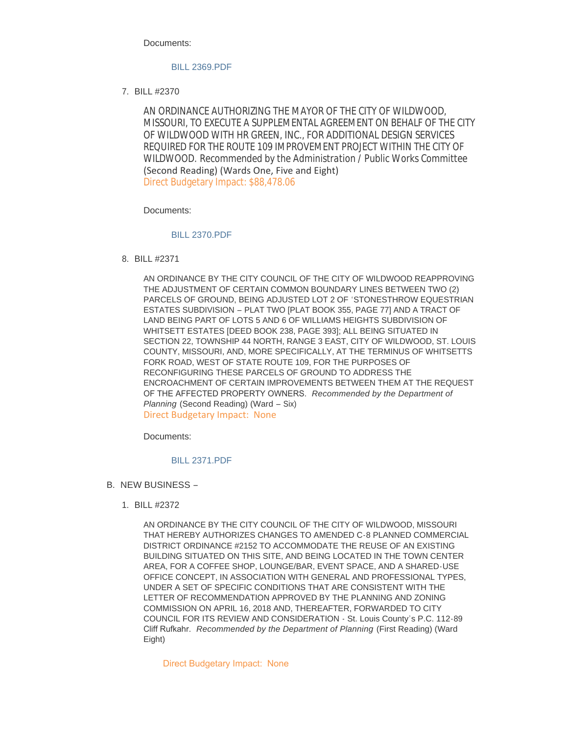Documents:

#### [BILL 2369.PDF](http://www.cityofwildwood.com/AgendaCenter/ViewFile/Item/15711?fileID=23431)

BILL #2370 7.

AN ORDINANCE AUTHORIZING THE MAYOR OF THE CITY OF WILDWOOD, MISSOURI, TO EXECUTE A SUPPLEMENTAL AGREEMENT ON BEHALF OF THE CITY OF WILDWOOD WITH HR GREEN, INC., FOR ADDITIONAL DESIGN SERVICES REQUIRED FOR THE ROUTE 109 IMPROVEMENT PROJECT WITHIN THE CITY OF WILDWOOD. *Recommended by the Administration / Public Works Committee*  (Second Reading) (Wards One, Five and Eight) Direct Budgetary Impact: \$88,478.06

Documents:

#### [BILL 2370.PDF](http://www.cityofwildwood.com/AgendaCenter/ViewFile/Item/15713?fileID=23432)

BILL #2371 8.

AN ORDINANCE BY THE CITY COUNCIL OF THE CITY OF WILDWOOD REAPPROVING THE ADJUSTMENT OF CERTAIN COMMON BOUNDARY LINES BETWEEN TWO (2) PARCELS OF GROUND, BEING ADJUSTED LOT 2 OF 'STONESTHROW EQUESTRIAN ESTATES SUBDIVISION – PLAT TWO [PLAT BOOK 355, PAGE 77] AND A TRACT OF LAND BEING PART OF LOTS 5 AND 6 OF WILLIAMS HEIGHTS SUBDIVISION OF WHITSETT ESTATES [DEED BOOK 238, PAGE 393]; ALL BEING SITUATED IN SECTION 22, TOWNSHIP 44 NORTH, RANGE 3 EAST, CITY OF WILDWOOD, ST. LOUIS COUNTY, MISSOURI, AND, MORE SPECIFICALLY, AT THE TERMINUS OF WHITSETTS FORK ROAD, WEST OF STATE ROUTE 109, FOR THE PURPOSES OF RECONFIGURING THESE PARCELS OF GROUND TO ADDRESS THE ENCROACHMENT OF CERTAIN IMPROVEMENTS BETWEEN THEM AT THE REQUEST OF THE AFFECTED PROPERTY OWNERS. *Recommended by the Department of Planning* (Second Reading) (Ward – Six) Direct Budgetary Impact: None

Documents:

#### [BILL 2371.PDF](http://www.cityofwildwood.com/AgendaCenter/ViewFile/Item/15716?fileID=23433)

- B. NEW BUSINESS
	- BILL #2372 1.

AN ORDINANCE BY THE CITY COUNCIL OF THE CITY OF WILDWOOD, MISSOURI THAT HEREBY AUTHORIZES CHANGES TO AMENDED C-8 PLANNED COMMERCIAL DISTRICT ORDINANCE #2152 TO ACCOMMODATE THE REUSE OF AN EXISTING BUILDING SITUATED ON THIS SITE, AND BEING LOCATED IN THE TOWN CENTER AREA, FOR A COFFEE SHOP, LOUNGE/BAR, EVENT SPACE, AND A SHARED-USE OFFICE CONCEPT, IN ASSOCIATION WITH GENERAL AND PROFESSIONAL TYPES, UNDER A SET OF SPECIFIC CONDITIONS THAT ARE CONSISTENT WITH THE LETTER OF RECOMMENDATION APPROVED BY THE PLANNING AND ZONING COMMISSION ON APRIL 16, 2018 AND, THEREAFTER, FORWARDED TO CITY COUNCIL FOR ITS REVIEW AND CONSIDERATION - St. Louis County's P.C. 112-89 Cliff Rufkahr. *Recommended by the Department of Planning* (First Reading) (Ward Eight)

Direct Budgetary Impact: None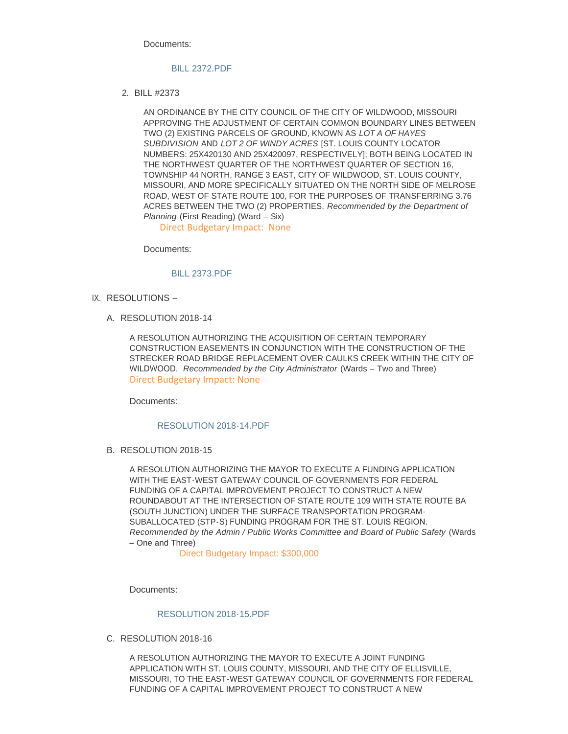Documents:

#### [BILL 2372.PDF](http://www.cityofwildwood.com/AgendaCenter/ViewFile/Item/15720?fileID=23434)

BILL #2373 2.

AN ORDINANCE BY THE CITY COUNCIL OF THE CITY OF WILDWOOD, MISSOURI APPROVING THE ADJUSTMENT OF CERTAIN COMMON BOUNDARY LINES BETWEEN TWO (2) EXISTING PARCELS OF GROUND, KNOWN AS *LOT A OF HAYES SUBDIVISION* AND *LOT 2 OF WINDY ACRES* [ST. LOUIS COUNTY LOCATOR NUMBERS: 25X420130 AND 25X420097, RESPECTIVELY]; BOTH BEING LOCATED IN THE NORTHWEST QUARTER OF THE NORTHWEST QUARTER OF SECTION 16, TOWNSHIP 44 NORTH, RANGE 3 EAST, CITY OF WILDWOOD, ST. LOUIS COUNTY, MISSOURI, AND MORE SPECIFICALLY SITUATED ON THE NORTH SIDE OF MELROSE ROAD, WEST OF STATE ROUTE 100, FOR THE PURPOSES OF TRANSFERRING 3.76 ACRES BETWEEN THE TWO (2) PROPERTIES. *Recommended by the Department of Planning* (First Reading) (Ward – Six)

Direct Budgetary Impact: None

Documents:

#### [BILL 2373.PDF](http://www.cityofwildwood.com/AgendaCenter/ViewFile/Item/15722?fileID=23435)

- IX. RESOLUTIONS
	- A. RESOLUTION 2018-14

A RESOLUTION AUTHORIZING THE ACQUISITION OF CERTAIN TEMPORARY CONSTRUCTION EASEMENTS IN CONJUNCTION WITH THE CONSTRUCTION OF THE STRECKER ROAD BRIDGE REPLACEMENT OVER CAULKS CREEK WITHIN THE CITY OF WILDWOOD. *Recommended by the City Administrator* (Wards – Two and Three) Direct Budgetary Impact: None

Documents:

#### [RESOLUTION 2018-14.PDF](http://www.cityofwildwood.com/AgendaCenter/ViewFile/Item/15727?fileID=23436)

B. RESOLUTION 2018-15

A RESOLUTION AUTHORIZING THE MAYOR TO EXECUTE A FUNDING APPLICATION WITH THE EAST-WEST GATEWAY COUNCIL OF GOVERNMENTS FOR FEDERAL FUNDING OF A CAPITAL IMPROVEMENT PROJECT TO CONSTRUCT A NEW ROUNDABOUT AT THE INTERSECTION OF STATE ROUTE 109 WITH STATE ROUTE BA (SOUTH JUNCTION) UNDER THE SURFACE TRANSPORTATION PROGRAM-SUBALLOCATED (STP-S) FUNDING PROGRAM FOR THE ST. LOUIS REGION. *Recommended by the Admin / Public Works Committee and Board of Public Safety* (Wards – One and Three)

Direct Budgetary Impact: \$300,000

Documents:

#### [RESOLUTION 2018-15.PDF](http://www.cityofwildwood.com/AgendaCenter/ViewFile/Item/15730?fileID=23437)

C. RESOLUTION 2018-16

A RESOLUTION AUTHORIZING THE MAYOR TO EXECUTE A JOINT FUNDING APPLICATION WITH ST. LOUIS COUNTY, MISSOURI, AND THE CITY OF ELLISVILLE, MISSOURI, TO THE EAST-WEST GATEWAY COUNCIL OF GOVERNMENTS FOR FEDERAL FUNDING OF A CAPITAL IMPROVEMENT PROJECT TO CONSTRUCT A NEW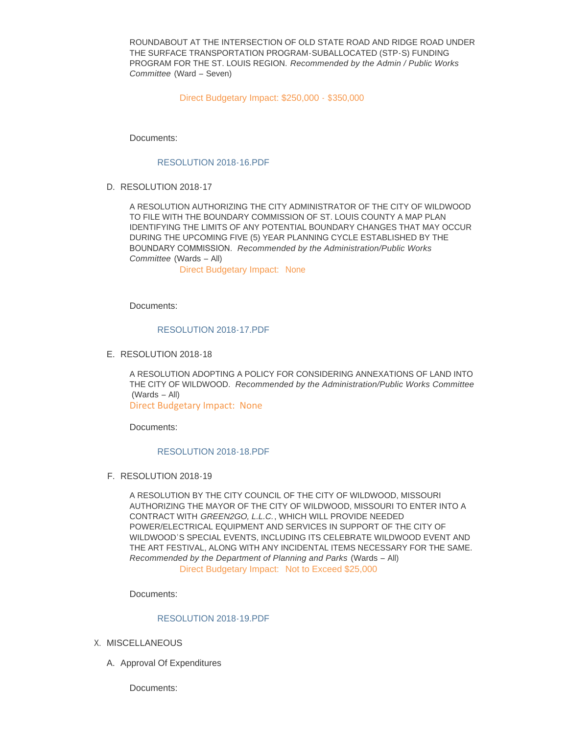ROUNDABOUT AT THE INTERSECTION OF OLD STATE ROAD AND RIDGE ROAD UNDER THE SURFACE TRANSPORTATION PROGRAM-SUBALLOCATED (STP-S) FUNDING PROGRAM FOR THE ST. LOUIS REGION. *Recommended by the Admin / Public Works Committee* (Ward – Seven)

Direct Budgetary Impact: \$250,000 - \$350,000

Documents:

#### [RESOLUTION 2018-16.PDF](http://www.cityofwildwood.com/AgendaCenter/ViewFile/Item/15732?fileID=23438)

D. RESOLUTION 2018-17

A RESOLUTION AUTHORIZING THE CITY ADMINISTRATOR OF THE CITY OF WILDWOOD TO FILE WITH THE BOUNDARY COMMISSION OF ST. LOUIS COUNTY A MAP PLAN IDENTIFYING THE LIMITS OF ANY POTENTIAL BOUNDARY CHANGES THAT MAY OCCUR DURING THE UPCOMING FIVE (5) YEAR PLANNING CYCLE ESTABLISHED BY THE BOUNDARY COMMISSION. *Recommended by the Administration/Public Works Committee* (Wards – All)

Direct Budgetary Impact: None

Documents:

#### [RESOLUTION 2018-17.PDF](http://www.cityofwildwood.com/AgendaCenter/ViewFile/Item/15734?fileID=23439)

E. RESOLUTION 2018-18

A RESOLUTION ADOPTING A POLICY FOR CONSIDERING ANNEXATIONS OF LAND INTO THE CITY OF WILDWOOD. *Recommended by the Administration/Public Works Committee*  (Wards – All) Direct Budgetary Impact: None

Documents:

#### [RESOLUTION 2018-18.PDF](http://www.cityofwildwood.com/AgendaCenter/ViewFile/Item/15736?fileID=23440)

F. RESOLUTION 2018-19

A RESOLUTION BY THE CITY COUNCIL OF THE CITY OF WILDWOOD, MISSOURI AUTHORIZING THE MAYOR OF THE CITY OF WILDWOOD, MISSOURI TO ENTER INTO A CONTRACT WITH *GREEN2GO, L.L.C.*, WHICH WILL PROVIDE NEEDED POWER/ELECTRICAL EQUIPMENT AND SERVICES IN SUPPORT OF THE CITY OF WILDWOOD'S SPECIAL EVENTS, INCLUDING ITS CELEBRATE WILDWOOD EVENT AND THE ART FESTIVAL, ALONG WITH ANY INCIDENTAL ITEMS NECESSARY FOR THE SAME. *Recommended by the Department of Planning and Parks* (Wards – All) Direct Budgetary Impact: Not to Exceed \$25,000

Documents:

### [RESOLUTION 2018-19.PDF](http://www.cityofwildwood.com/AgendaCenter/ViewFile/Item/15739?fileID=23442)

- X. MISCELLANEOUS
	- A. Approval Of Expenditures

Documents: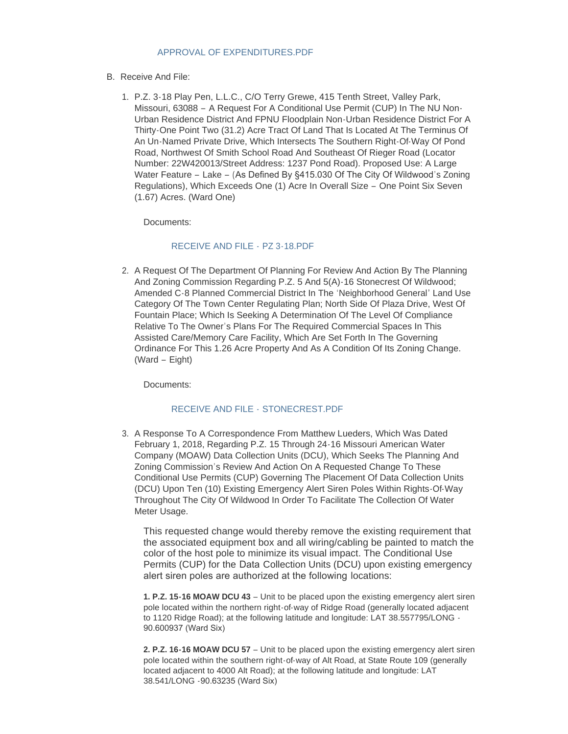### [APPROVAL OF EXPENDITURES.PDF](http://www.cityofwildwood.com/AgendaCenter/ViewFile/Item/15769?fileID=23452)

- B. Receive And File:
	- P.Z. 3-18 Play Pen, L.L.C., C/O Terry Grewe, 415 Tenth Street, Valley Park, 1. Missouri, 63088 – A Request For A Conditional Use Permit (CUP) In The NU Non-Urban Residence District And FPNU Floodplain Non-Urban Residence District For A Thirty-One Point Two (31.2) Acre Tract Of Land That Is Located At The Terminus Of An Un-Named Private Drive, Which Intersects The Southern Right-Of-Way Of Pond Road, Northwest Of Smith School Road And Southeast Of Rieger Road (Locator Number: 22W420013/Street Address: 1237 Pond Road). Proposed Use: A Large Water Feature – Lake – (As Defined By §415.030 Of The City Of Wildwood's Zoning Regulations), Which Exceeds One (1) Acre In Overall Size – One Point Six Seven (1.67) Acres. (Ward One)

Documents:

### [RECEIVE AND FILE -](http://www.cityofwildwood.com/AgendaCenter/ViewFile/Item/15746?fileID=23443) PZ 3-18.PDF

2. A Request Of The Department Of Planning For Review And Action By The Planning And Zoning Commission Regarding P.Z. 5 And 5(A)-16 Stonecrest Of Wildwood; Amended C-8 Planned Commercial District In The 'Neighborhood General' Land Use Category Of The Town Center Regulating Plan; North Side Of Plaza Drive, West Of Fountain Place; Which Is Seeking A Determination Of The Level Of Compliance Relative To The Owner's Plans For The Required Commercial Spaces In This Assisted Care/Memory Care Facility, Which Are Set Forth In The Governing Ordinance For This 1.26 Acre Property And As A Condition Of Its Zoning Change. (Ward – Eight)

Documents:

### [RECEIVE AND FILE -](http://www.cityofwildwood.com/AgendaCenter/ViewFile/Item/15749?fileID=23444) STONECREST.PDF

3. A Response To A Correspondence From Matthew Lueders, Which Was Dated February 1, 2018, Regarding P.Z. 15 Through 24-16 Missouri American Water Company (MOAW) Data Collection Units (DCU), Which Seeks The Planning And Zoning Commission's Review And Action On A Requested Change To These Conditional Use Permits (CUP) Governing The Placement Of Data Collection Units (DCU) Upon Ten (10) Existing Emergency Alert Siren Poles Within Rights-Of-Way Throughout The City Of Wildwood In Order To Facilitate The Collection Of Water Meter Usage.

This requested change would thereby remove the existing requirement that the associated equipment box and all wiring/cabling be painted to match the color of the host pole to minimize its visual impact. The Conditional Use Permits (CUP) for the Data Collection Units (DCU) upon existing emergency alert siren poles are authorized at the following locations:

**1. P.Z. 15-16 MOAW DCU 43** – Unit to be placed upon the existing emergency alert siren pole located within the northern right-of-way of Ridge Road (generally located adjacent to 1120 Ridge Road); at the following latitude and longitude: LAT 38.557795/LONG - 90.600937 (Ward Six)

**2. P.Z. 16-16 MOAW DCU 57** – Unit to be placed upon the existing emergency alert siren pole located within the southern right-of-way of Alt Road, at State Route 109 (generally located adjacent to 4000 Alt Road); at the following latitude and longitude: LAT 38.541/LONG -90.63235 (Ward Six)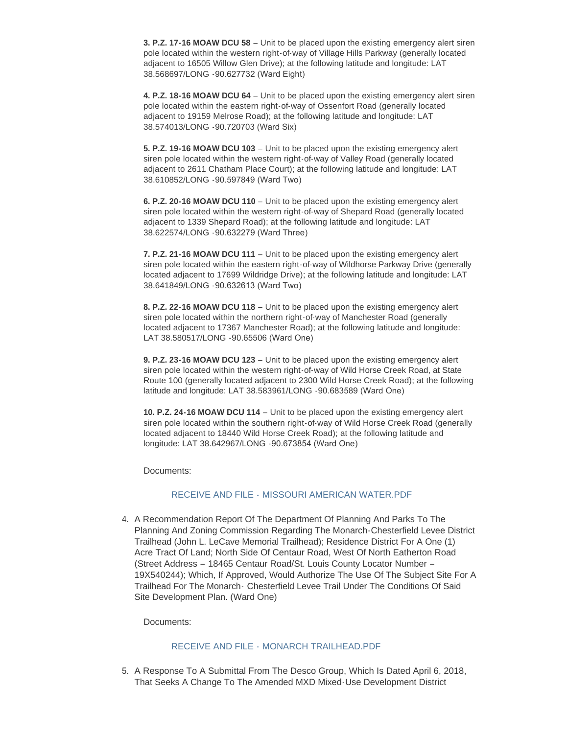**3. P.Z. 17-16 MOAW DCU 58** – Unit to be placed upon the existing emergency alert siren pole located within the western right-of-way of Village Hills Parkway (generally located adjacent to 16505 Willow Glen Drive); at the following latitude and longitude: LAT 38.568697/LONG -90.627732 (Ward Eight)

**4. P.Z. 18-16 MOAW DCU 64** – Unit to be placed upon the existing emergency alert siren pole located within the eastern right-of-way of Ossenfort Road (generally located adjacent to 19159 Melrose Road); at the following latitude and longitude: LAT 38.574013/LONG -90.720703 (Ward Six)

**5. P.Z. 19-16 MOAW DCU 103** – Unit to be placed upon the existing emergency alert siren pole located within the western right-of-way of Valley Road (generally located adjacent to 2611 Chatham Place Court); at the following latitude and longitude: LAT 38.610852/LONG -90.597849 (Ward Two)

**6. P.Z. 20-16 MOAW DCU 110** – Unit to be placed upon the existing emergency alert siren pole located within the western right-of-way of Shepard Road (generally located adjacent to 1339 Shepard Road); at the following latitude and longitude: LAT 38.622574/LONG -90.632279 (Ward Three)

**7. P.Z. 21-16 MOAW DCU 111** – Unit to be placed upon the existing emergency alert siren pole located within the eastern right-of-way of Wildhorse Parkway Drive (generally located adjacent to 17699 Wildridge Drive); at the following latitude and longitude: LAT 38.641849/LONG -90.632613 (Ward Two)

**8. P.Z. 22-16 MOAW DCU 118** – Unit to be placed upon the existing emergency alert siren pole located within the northern right-of-way of Manchester Road (generally located adjacent to 17367 Manchester Road); at the following latitude and longitude: LAT 38.580517/LONG -90.65506 (Ward One)

**9. P.Z. 23-16 MOAW DCU 123** – Unit to be placed upon the existing emergency alert siren pole located within the western right-of-way of Wild Horse Creek Road, at State Route 100 (generally located adjacent to 2300 Wild Horse Creek Road); at the following latitude and longitude: LAT 38.583961/LONG -90.683589 (Ward One)

**10. P.Z. 24-16 MOAW DCU 114** – Unit to be placed upon the existing emergency alert siren pole located within the southern right-of-way of Wild Horse Creek Road (generally located adjacent to 18440 Wild Horse Creek Road); at the following latitude and longitude: LAT 38.642967/LONG -90.673854 (Ward One)

Documents:

### RECEIVE AND FILE - [MISSOURI AMERICAN WATER.PDF](http://www.cityofwildwood.com/AgendaCenter/ViewFile/Item/15756?fileID=23447)

A Recommendation Report Of The Department Of Planning And Parks To The 4. Planning And Zoning Commission Regarding The Monarch-Chesterfield Levee District Trailhead (John L. LeCave Memorial Trailhead); Residence District For A One (1) Acre Tract Of Land; North Side Of Centaur Road, West Of North Eatherton Road (Street Address – 18465 Centaur Road/St. Louis County Locator Number – 19X540244); Which, If Approved, Would Authorize The Use Of The Subject Site For A Trailhead For The Monarch- Chesterfield Levee Trail Under The Conditions Of Said Site Development Plan. (Ward One)

Documents:

### RECEIVE AND FILE - [MONARCH TRAILHEAD.PDF](http://www.cityofwildwood.com/AgendaCenter/ViewFile/Item/15757?fileID=23448)

5. A Response To A Submittal From The Desco Group, Which Is Dated April 6, 2018, That Seeks A Change To The Amended MXD Mixed-Use Development District